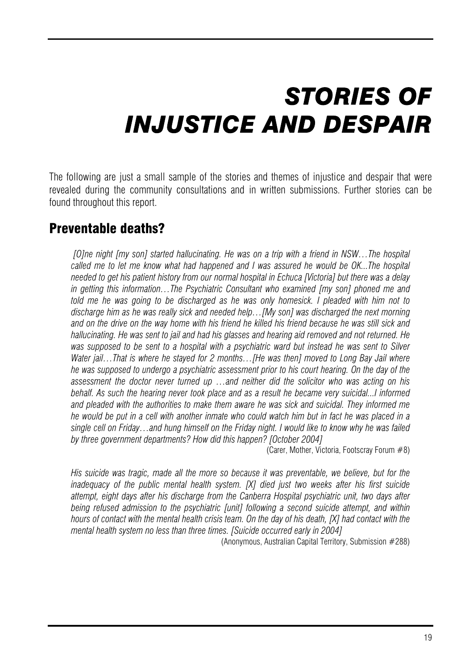# *STORIES OF INJUSTICE AND DESPAIR*

 The following are just a small sample of the stories and themes of injustice and despair that were revealed during the community consultations and in written submissions. Further stories can be found throughout this report.

# Preventable deaths?

 *[O]ne night [my son] started hallucinating. He was on a trip with a friend in NSW…The hospital called me to let me know what had happened and I was assured he would be OK...The hospital needed to get his patient history from our normal hospital in Echuca [Victoria] but there was a delay in getting this information…The Psychiatric Consultant who examined [my son] phoned me and told me he was going to be discharged as he was only homesick. I pleaded with him not to discharge him as he was really sick and needed help…[My son] was discharged the next morning*  and on the drive on the way home with his friend he killed his friend because he was still sick and *hallucinating. He was sent to jail and had his glasses and hearing aid removed and not returned. He was supposed to be sent to a hospital with a psychiatric ward but instead he was sent to Silver Water jail…That is where he stayed for 2 months…[He was then] moved to Long Bay Jail where he was supposed to undergo a psychiatric assessment prior to his court hearing. On the day of the assessment the doctor never turned up …and neither did the solicitor who was acting on his*  behalf. As such the hearing never took place and as a result he became very suicidal...I informed *and pleaded with the authorities to make them aware he was sick and suicidal. They informed me he would be put in a cell with another inmate who could watch him but in fact he was placed in a single cell on Friday…and hung himself on the Friday night. I would like to know why he was failed by three government departments? How did this happen? [October 2004]* 

(Carer, Mother, Victoria, Footscray Forum #8)

*His suicide was tragic, made all the more so because it was preventable, we believe, but for the inadequacy of the public mental health system. [X] died just two weeks after his first suicide attempt, eight days after his discharge from the Canberra Hospital psychiatric unit, two days after being refused admission to the psychiatric [unit] following a second suicide attempt, and within hours of contact with the mental health crisis team. On the day of his death, [X] had contact with the mental health system no less than three times. [Suicide occurred early in 2004]* 

(Anonymous, Australian Capital Territory, Submission #288)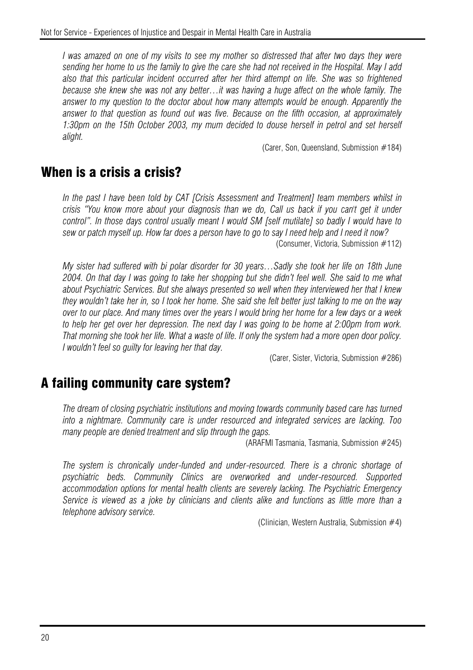*I* was amazed on one of my visits to see my mother so distressed that after two days they were *sending her home to us the family to give the care she had not received in the Hospital. May I add also that this particular incident occurred after her third attempt on life. She was so frightened because she knew she was not any better…it was having a huge affect on the whole family. The answer to my question to the doctor about how many attempts would be enough. Apparently the answer to that question as found out was five. Because on the fifth occasion, at approximately 1:30pm on the 15th October 2003, my mum decided to douse herself in petrol and set herself alight.*

(Carer, Son, Queensland, Submission #184)

#### When is a crisis a crisis?

*In the past I have been told by CAT [Crisis Assessment and Treatment] team members whilst in crisis "You know more about your diagnosis than we do, Call us back if you can't get it under control". In those days control usually meant I would SM [self mutilate] so badly I would have to sew or patch myself up. How far does a person have to go to say I need help and I need it now?*  (Consumer, Victoria, Submission #112)

*My sister had suffered with bi polar disorder for 30 years…Sadly she took her life on 18th June 2004. On that day I was going to take her shopping but she didn't feel well. She said to me what about Psychiatric Services. But she always presented so well when they interviewed her that I knew they wouldn't take her in, so I took her home. She said she felt better just talking to me on the way over to our place. And many times over the years I would bring her home for a few days or a week to help her get over her depression. The next day I was going to be home at 2:00pm from work. That morning she took her life. What a waste of life. If only the system had a more open door policy. I wouldn't feel so guilty for leaving her that day.* 

(Carer, Sister, Victoria, Submission #286)

## A failing community care system?

*The dream of closing psychiatric institutions and moving towards community based care has turned into a nightmare. Community care is under resourced and integrated services are lacking. Too many people are denied treatment and slip through the gaps.* 

(ARAFMI Tasmania, Tasmania, Submission #245)

*The system is chronically under-funded and under-resourced. There is a chronic shortage of psychiatric beds. Community Clinics are overworked and under-resourced. Supported accommodation options for mental health clients are severely lacking. The Psychiatric Emergency Service is viewed as a joke by clinicians and clients alike and functions as little more than a telephone advisory service.* 

(Clinician, Western Australia, Submission #4)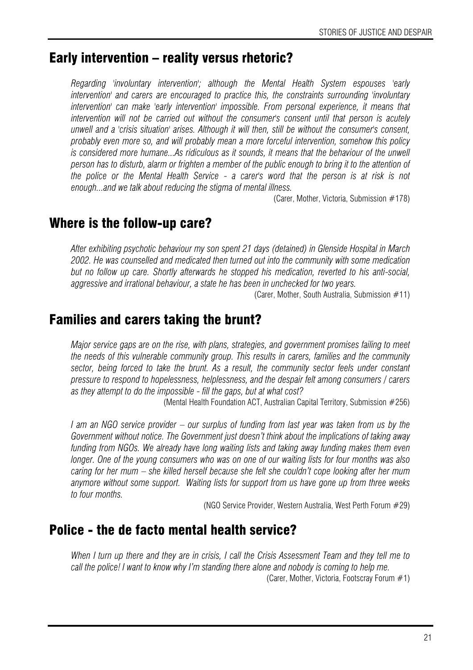# Early intervention – reality versus rhetoric?

*Regarding 'involuntary intervention'; although the Mental Health System espouses 'early intervention' and carers are encouraged to practice this, the constraints surrounding 'involuntary intervention' can make 'early intervention' impossible. From personal experience, it means that intervention will not be carried out without the consumer's consent until that person is acutely unwell and a 'crisis situation' arises. Although it will then, still be without the consumer's consent, probably even more so, and will probably mean a more forceful intervention, somehow this policy*  is considered more humane...As ridiculous as it sounds, it means that the behaviour of the unwell *person has to disturb, alarm or frighten a member of the public enough to bring it to the attention of the police or the Mental Health Service - a carer's word that the person is at risk is not enough...and we talk about reducing the stigma of mental illness.* 

(Carer, Mother, Victoria, Submission #178)

## Where is the follow-up care?

*After exhibiting psychotic behaviour my son spent 21 days (detained) in Glenside Hospital in March 2002. He was counselled and medicated then turned out into the community with some medication but no follow up care. Shortly afterwards he stopped his medication, reverted to his anti-social, aggressive and irrational behaviour, a state he has been in unchecked for two years.* 

(Carer, Mother, South Australia, Submission  $#11$ )

## Families and carers taking the brunt?

*Major service gaps are on the rise, with plans, strategies, and government promises failing to meet the needs of this vulnerable community group. This results in carers, families and the community*  sector, being forced to take the brunt. As a result, the community sector feels under constant *pressure to respond to hopelessness, helplessness, and the despair felt among consumers / carers as they attempt to do the impossible - fill the gaps, but at what cost?* 

(Mental Health Foundation ACT, Australian Capital Territory, Submission #256)

*I am an NGO service provider – our surplus of funding from last year was taken from us by the Government without notice. The Government just doesn't think about the implications of taking away funding from NGOs. We already have long waiting lists and taking away funding makes them even longer. One of the young consumers who was on one of our waiting lists for four months was also caring for her mum – she killed herself because she felt she couldn't cope looking after her mum anymore without some support. Waiting lists for support from us have gone up from three weeks to four months.* 

(NGO Service Provider, Western Australia, West Perth Forum #29)

## Police - the de facto mental health service?

*When I turn up there and they are in crisis, I call the Crisis Assessment Team and they tell me to call the police! I want to know why I'm standing there alone and nobody is coming to help me.*  (Carer, Mother, Victoria, Footscray Forum #1)